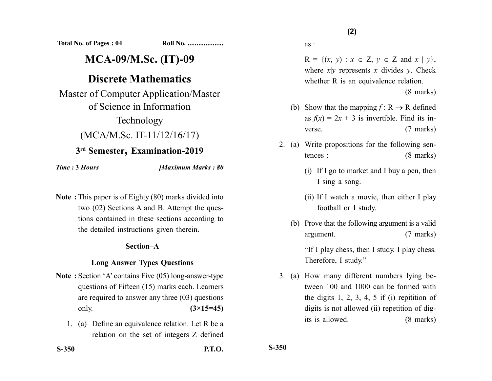**Total No. of Pages : 04 Roll No. ....................**

# **MCA-09/M.Sc. (IT)-09**

# **Discrete Mathematics**

Master of Computer Application/Master of Science in Information Technology (MCA/M.Sc. IT-11/12/16/17)

## **3rd Semester, Examination-2019**

*Time :* **3** *Hours [Maximum Marks : 80*

**Note :** This paper is of Eighty (80) marks divided into two (02) Sections A and B. Attempt the questions contained in these sections according to the detailed instructions given therein.

### **Section–A**

### **Long Answer Types Questions**

- **Note :** Section 'A' contains Five (05) long-answer-type questions of Fifteen (15) marks each. Learners are required to answer any three (03) questions only. **(3×15=45)**
	- 1. (a) Define an equivalence relation. Let R be a relation on the set of integers Z defined

as :

 $R = \{(x, y) : x \in Z, y \in Z \text{ and } x \mid y\},\$ where  $x|y$  represents x divides y. Check whether R is an equivalence relation.

(8 marks)

- (b) Show that the mapping  $f : \mathbb{R} \to \mathbb{R}$  defined as  $f(x) = 2x + 3$  is invertible. Find its inverse. (7 marks)
- 2. (a) Write propositions for the following sentences : (8 marks)
	- (i) If I go to market and I buy a pen, then I sing a song.
	- (ii) If I watch a movie, then either I play football or I study.
	- (b) Prove that the following argument is a valid argument. (7 marks) "If I play chess, then I study. I play chess. Therefore, I study."
- 3. (a) How many different numbers lying between 100 and 1000 can be formed with the digits  $1, 2, 3, 4, 5$  if (i) repitition of digits is not allowed (ii) repetition of digits is allowed. (8 marks)